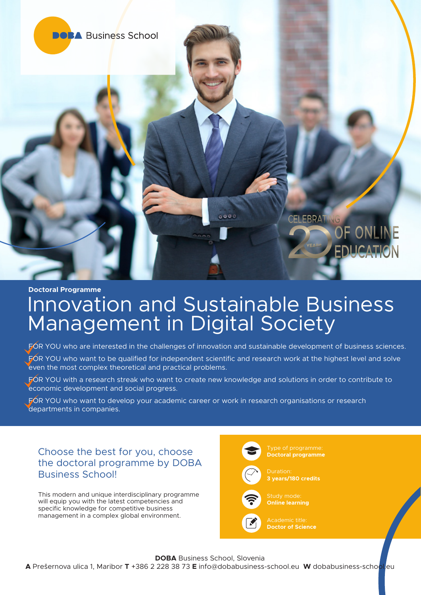

#### **Doctoral Programme**

# Innovation and Sustainable Business Management in Digital Society

FOR YOU who are interested in the challenges of innovation and sustainable development of business sciences.

- FOR YOU who want to be qualified for independent scientific and research work at the highest level and solve even the most complex theoretical and practical problems.
- FOR YOU with a research streak who want to create new knowledge and solutions in order to contribute to economic development and social progress.

FOR YOU who want to develop your academic career or work in research organisations or research departments in companies.

# Choose the best for you, choose the doctoral programme by DOBA Business School!

This modern and unique interdisciplinary programme will equip you with the latest competencies and specific knowledge for competitive business management in a complex global environment.



**Doctoral programme**



Duration: **3 years/180 credits**



**Online learning**



**Doctor of Science**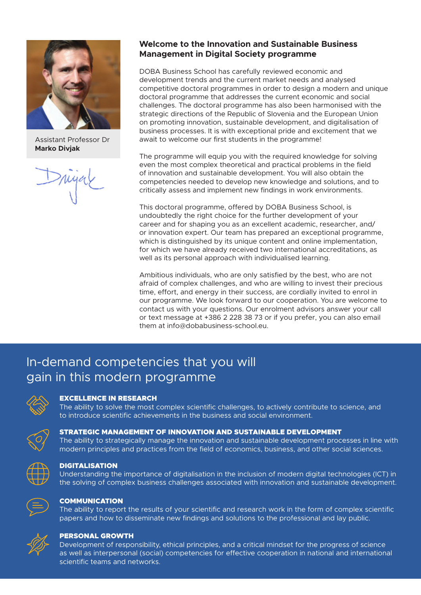

Assistant Professor Dr **Marko Divjak** 

# **Welcome to the Innovation and Sustainable Business Management in Digital Society programme**

DOBA Business School has carefully reviewed economic and development trends and the current market needs and analysed competitive doctoral programmes in order to design a modern and unique doctoral programme that addresses the current economic and social challenges. The doctoral programme has also been harmonised with the strategic directions of the Republic of Slovenia and the European Union on promoting innovation, sustainable development, and digitalisation of business processes. It is with exceptional pride and excitement that we await to welcome our first students in the programme!

The programme will equip you with the required knowledge for solving even the most complex theoretical and practical problems in the field of innovation and sustainable development. You will also obtain the competencies needed to develop new knowledge and solutions, and to critically assess and implement new findings in work environments.

This doctoral programme, offered by DOBA Business School, is undoubtedly the right choice for the further development of your career and for shaping you as an excellent academic, researcher, and/ or innovation expert. Our team has prepared an exceptional programme, which is distinguished by its unique content and online implementation, for which we have already received two international accreditations, as well as its personal approach with individualised learning.

Ambitious individuals, who are only satisfied by the best, who are not afraid of complex challenges, and who are willing to invest their precious time, effort, and energy in their success, are cordially invited to enrol in our programme. We look forward to our cooperation. You are welcome to contact us with your questions. Our enrolment advisors answer your call or text message at +386 2 228 38 73 or if you prefer, you can also email them at info@dobabusiness-school.eu.

# In-demand competencies that you will gain in this modern programme



#### EXCELLENCE IN RESEARCH

The ability to solve the most complex scientific challenges, to actively contribute to science, and to introduce scientific achievements in the business and social environment.



#### STRATEGIC MANAGEMENT OF INNOVATION AND SUSTAINABLE DEVELOPMENT

The ability to strategically manage the innovation and sustainable development processes in line with modern principles and practices from the field of economics, business, and other social sciences.



#### DIGITALISATION

Understanding the importance of digitalisation in the inclusion of modern digital technologies (ICT) in the solving of complex business challenges associated with innovation and sustainable development.



#### **COMMUNICATION**

The ability to report the results of your scientific and research work in the form of complex scientific papers and how to disseminate new findings and solutions to the professional and lay public.



#### PERSONAL GROWTH

Development of responsibility, ethical principles, and a critical mindset for the progress of science as well as interpersonal (social) competencies for effective cooperation in national and international scientific teams and networks.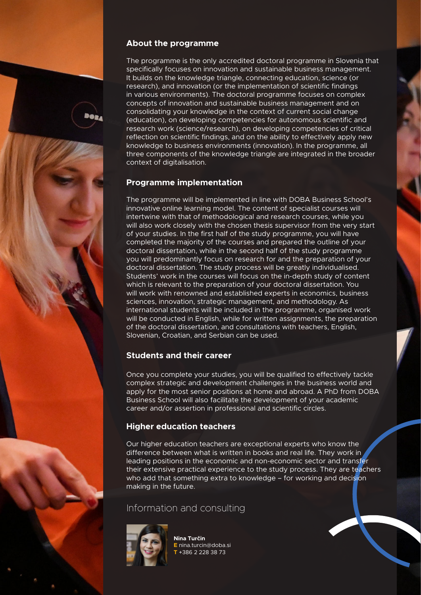#### **About the programme**

The programme is the only accredited doctoral programme in Slovenia that specifically focuses on innovation and sustainable business management. It builds on the knowledge triangle, connecting education, science (or research), and innovation (or the implementation of scientific findings in various environments). The doctoral programme focuses on complex concepts of innovation and sustainable business management and on consolidating your knowledge in the context of current social change (education), on developing competencies for autonomous scientific and research work (science/research), on developing competencies of critical reflection on scientific findings, and on the ability to effectively apply new knowledge to business environments (innovation). In the programme, all three components of the knowledge triangle are integrated in the broader context of digitalisation.

# **Programme implementation**

The programme will be implemented in line with DOBA Business School's innovative online learning model. The content of specialist courses will intertwine with that of methodological and research courses, while you will also work closely with the chosen thesis supervisor from the very start of your studies. In the first half of the study programme, you will have completed the majority of the courses and prepared the outline of your doctoral dissertation, while in the second half of the study programme you will predominantly focus on research for and the preparation of your doctoral dissertation. The study process will be greatly individualised. Students' work in the courses will focus on the in-depth study of content which is relevant to the preparation of your doctoral dissertation. You will work with renowned and established experts in economics, business sciences, innovation, strategic management, and methodology. As international students will be included in the programme, organised work will be conducted in English, while for written assignments, the preparation of the doctoral dissertation, and consultations with teachers, English, Slovenian, Croatian, and Serbian can be used.

# **Students and their career**

Once you complete your studies, you will be qualified to effectively tackle complex strategic and development challenges in the business world and apply for the most senior positions at home and abroad. A PhD from DOBA Business School will also facilitate the development of your academic career and/or assertion in professional and scientific circles.

# **Higher education teachers**

Our higher education teachers are exceptional experts who know the difference between what is written in books and real life. They work in leading positions in the economic and non-economic sector and transfer their extensive practical experience to the study process. They are teachers who add that something extra to knowledge – for working and decision making in the future.

# Information and consulting



**Nina Turčin E** nina.turcin@doba.si **T** +386 2 228 38 73